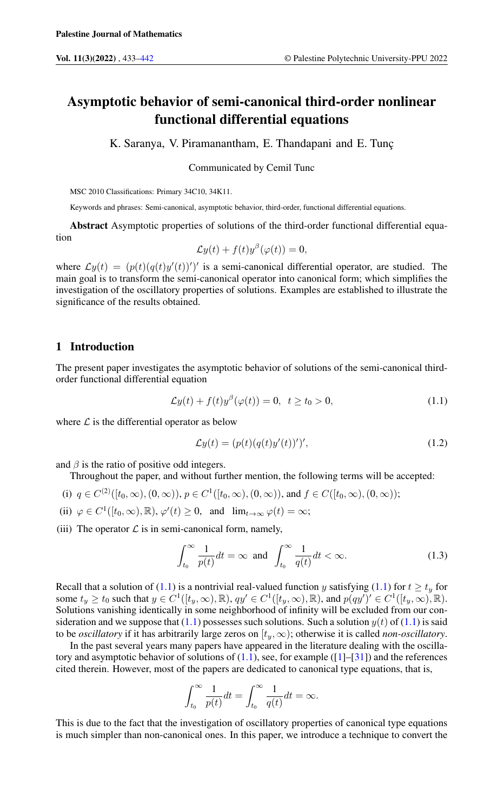# Asymptotic behavior of semi-canonical third-order nonlinear functional differential equations

K. Saranya, V. Piramanantham, E. Thandapani and E. Tunç

Communicated by Cemil Tunc

MSC 2010 Classifications: Primary 34C10, 34K11.

Keywords and phrases: Semi-canonical, asymptotic behavior, third-order, functional differential equations.

Abstract Asymptotic properties of solutions of the third-order functional differential equation

$$
\mathcal{L}y(t) + f(t)y^{\beta}(\varphi(t)) = 0,
$$

where  $\mathcal{L}y(t) = (p(t)(q(t)y'(t))')'$  is a semi-canonical differential operator, are studied. The main goal is to transform the semi-canonical operator into canonical form; which simplifies the investigation of the oscillatory properties of solutions. Examples are established to illustrate the significance of the results obtained.

## 1 Introduction

The present paper investigates the asymptotic behavior of solutions of the semi-canonical thirdorder functional differential equation

<span id="page-0-0"></span>
$$
\mathcal{L}y(t) + f(t)y^{\beta}(\varphi(t)) = 0, \quad t \ge t_0 > 0,
$$
\n(1.1)

where  $\mathcal L$  is the differential operator as below

$$
\mathcal{L}y(t) = (p(t)(q(t)y'(t))')',\tag{1.2}
$$

and  $\beta$  is the ratio of positive odd integers.

Throughout the paper, and without further mention, the following terms will be accepted:

- (i)  $q \in C^{(2)}([t_0,\infty), (0,\infty))$ ,  $p \in C^1([t_0,\infty), (0,\infty))$ , and  $f \in C([t_0,\infty), (0,\infty))$ ;
- (ii)  $\varphi \in C^1([t_0, \infty), \mathbb{R}), \varphi'(t) \ge 0$ , and  $\lim_{t \to \infty} \varphi(t) = \infty$ ;

(iii) The operator  $\mathcal L$  is in semi-canonical form, namely,

<span id="page-0-1"></span>
$$
\int_{t_0}^{\infty} \frac{1}{p(t)} dt = \infty \text{ and } \int_{t_0}^{\infty} \frac{1}{q(t)} dt < \infty.
$$
 (1.3)

Recall that a solution of [\(1.1\)](#page-0-0) is a nontrivial real-valued function y satisfying (1.1) for  $t \ge t_y$  for some  $t_y \ge t_0$  such that  $y \in C^1([t_y,\infty),\mathbb{R})$ ,  $qy' \in C^1([t_y,\infty),\mathbb{R})$ , and  $p(qy')' \in C^1([t_y,\infty),\mathbb{R})$ . Solutions vanishing identically in some neighborhood of infinity will be excluded from our consideration and we suppose that  $(1.1)$  possesses such solutions. Such a solution  $y(t)$  of  $(1.1)$  is said to be *oscillatory* if it has arbitrarily large zeros on  $[t_u, \infty)$ ; otherwise it is called *non-oscillatory*.

In the past several years many papers have appeared in the literature dealing with the oscillatory and asymptotic behavior of solutions of  $(1.1)$ , see, for example  $(11-[31])$  $(11-[31])$  $(11-[31])$  and the references cited therein. However, most of the papers are dedicated to canonical type equations, that is,

$$
\int_{t_0}^{\infty} \frac{1}{p(t)} dt = \int_{t_0}^{\infty} \frac{1}{q(t)} dt = \infty.
$$

This is due to the fact that the investigation of oscillatory properties of canonical type equations is much simpler than non-canonical ones. In this paper, we introduce a technique to convert the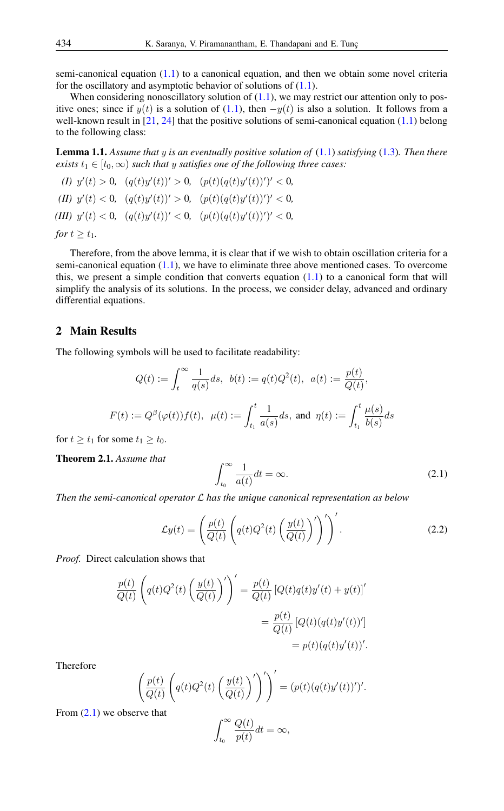semi-canonical equation  $(1.1)$  to a canonical equation, and then we obtain some novel criteria for the oscillatory and asymptotic behavior of solutions of  $(1.1)$ .

When considering nonoscillatory solution of  $(1.1)$ , we may restrict our attention only to positive ones; since if  $y(t)$  is a solution of [\(1.1\)](#page-0-0), then  $-y(t)$  is also a solution. It follows from a well-known result in  $[21, 24]$  $[21, 24]$  $[21, 24]$  that the positive solutions of semi-canonical equation  $(1.1)$  belong to the following class:

Lemma 1.1. *Assume that* y *is an eventually positive solution of* [\(1.1\)](#page-0-0) *satisfying* [\(1.3\)](#page-0-1)*. Then there exists*  $t_1 \in [t_0, \infty)$  *such that y satisfies one of the following three cases:* 

(*I)*  $y'(t) > 0$ ,  $(q(t)y'(t))' > 0$ ,  $(p(t)(q(t)y'(t))')' < 0$ , (*II*)  $y'(t) < 0$ ,  $(q(t)y'(t))' > 0$ ,  $(p(t)(q(t)y'(t))')' < 0$ , (*III*)  $y'(t) < 0$ ,  $(q(t)y'(t))' < 0$ ,  $(p(t)(q(t)y'(t))')' < 0$ , *for*  $t \geq t_1$ *.* 

Therefore, from the above lemma, it is clear that if we wish to obtain oscillation criteria for a semi-canonical equation [\(1.1\)](#page-0-0), we have to eliminate three above mentioned cases. To overcome this, we present a simple condition that converts equation  $(1.1)$  to a canonical form that will simplify the analysis of its solutions. In the process, we consider delay, advanced and ordinary differential equations.

### 2 Main Results

The following symbols will be used to facilitate readability:

$$
Q(t) := \int_t^{\infty} \frac{1}{q(s)} ds, \ \ b(t) := q(t)Q^2(t), \ \ a(t) := \frac{p(t)}{Q(t)},
$$
  

$$
F(t) := Q^{\beta}(\varphi(t))f(t), \ \ \mu(t) := \int_{t_1}^t \frac{1}{a(s)} ds, \text{ and } \ \eta(t) := \int_{t_1}^t \frac{\mu(s)}{b(s)} ds
$$

for  $t \ge t_1$  for some  $t_1 \ge t_0$ .

<span id="page-1-2"></span>Theorem 2.1. *Assume that*

<span id="page-1-1"></span><span id="page-1-0"></span>
$$
\int_{t_0}^{\infty} \frac{1}{a(t)} dt = \infty.
$$
 (2.1)

*Then the semi-canonical operator* L *has the unique canonical representation as below*

$$
\mathcal{L}y(t) = \left(\frac{p(t)}{Q(t)} \left(q(t)Q^2(t)\left(\frac{y(t)}{Q(t)}\right)'\right)'\right)'.
$$
\n(2.2)

*Proof.* Direct calculation shows that

<span id="page-1-3"></span>
$$
\frac{p(t)}{Q(t)} \left( q(t)Q^{2}(t) \left( \frac{y(t)}{Q(t)} \right)' \right)' = \frac{p(t)}{Q(t)} \left[ Q(t)q(t)y'(t) + y(t) \right]'
$$

$$
= \frac{p(t)}{Q(t)} \left[ Q(t)(q(t)y'(t))' \right]
$$

$$
= p(t)(q(t)y'(t))'.
$$

Therefore

$$
\left(\frac{p(t)}{Q(t)}\left(q(t)Q^{2}(t)\left(\frac{y(t)}{Q(t)}\right)'\right)'\right)' = (p(t)(q(t)y'(t))')'.
$$

From  $(2.1)$  we observe that

$$
\int_{t_0}^{\infty} \frac{Q(t)}{p(t)} dt = \infty,
$$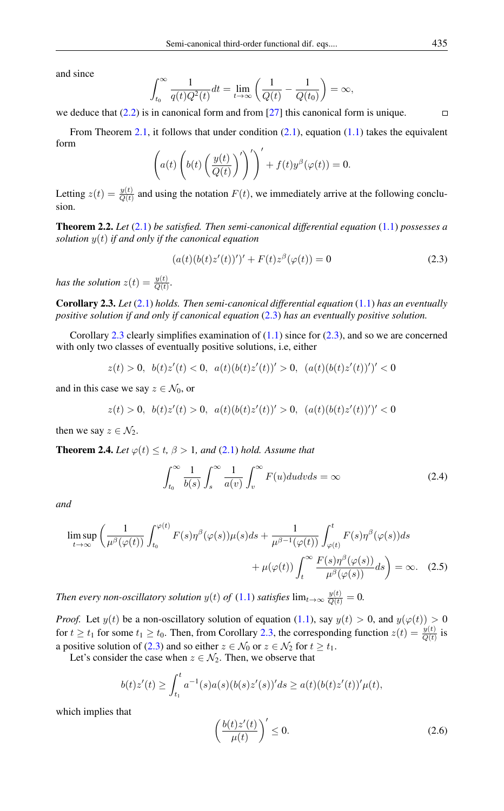and since

$$
\int_{t_0}^{\infty} \frac{1}{q(t)Q^2(t)} dt = \lim_{t \to \infty} \left( \frac{1}{Q(t)} - \frac{1}{Q(t_0)} \right) = \infty,
$$

we deduce that  $(2.2)$  is in canonical form and from [\[27\]](#page-9-2) this canonical form is unique.

From Theorem [2.1,](#page-1-2) it follows that under condition  $(2.1)$ , equation  $(1.1)$  takes the equivalent form

$$
\left(a(t)\left(b(t)\left(\frac{y(t)}{Q(t)}\right)'\right)'\right)' + f(t)y^{\beta}(\varphi(t)) = 0.
$$

Letting  $z(t) = \frac{y(t)}{Q(t)}$  and using the notation  $F(t)$ , we immediately arrive at the following conclusion.

Theorem 2.2. *Let* [\(2.1\)](#page-1-0) *be satisfied. Then semi-canonical differential equation* [\(1.1\)](#page-0-0) *possesses a solution* y(t) *if and only if the canonical equation*

$$
(a(t)(b(t)z'(t))')' + F(t)z^{\beta}(\varphi(t)) = 0
$$
\n(2.3)

*has the solution*  $z(t) = \frac{y(t)}{Q(t)}$ .

<span id="page-2-0"></span>Corollary 2.3. *Let* [\(2.1\)](#page-1-0) *holds. Then semi-canonical differential equation* [\(1.1\)](#page-0-0) *has an eventually positive solution if and only if canonical equation* [\(2.3\)](#page-1-3) *has an eventually positive solution.*

Corollary [2.3](#page-2-0) clearly simplifies examination of  $(1.1)$  since for  $(2.3)$ , and so we are concerned with only two classes of eventually positive solutions, i.e, either

$$
z(t) > 0, \ \ b(t)z'(t) < 0, \ \ a(t)(b(t)z'(t))' > 0, \ \ (a(t)(b(t)z'(t))')' < 0
$$

and in this case we say  $z \in \mathcal{N}_0$ , or

$$
z(t) > 0, \ \ b(t)z'(t) > 0, \ \ a(t)(b(t)z'(t))' > 0, \ \ (a(t)(b(t)z'(t))')' < 0
$$

then we say  $z \in \mathcal{N}_2$ .

<span id="page-2-4"></span>**Theorem 2.4.** *Let*  $\varphi(t) \leq t$ ,  $\beta > 1$ , and [\(2.1\)](#page-1-0) *hold.* Assume that

<span id="page-2-3"></span>
$$
\int_{t_0}^{\infty} \frac{1}{b(s)} \int_s^{\infty} \frac{1}{a(v)} \int_v^{\infty} F(u) du dv ds = \infty
$$
 (2.4)

*and*

$$
\limsup_{t \to \infty} \left( \frac{1}{\mu^{\beta}(\varphi(t))} \int_{t_0}^{\varphi(t)} F(s) \eta^{\beta}(\varphi(s)) \mu(s) ds + \frac{1}{\mu^{\beta - 1}(\varphi(t))} \int_{\varphi(t)}^t F(s) \eta^{\beta}(\varphi(s)) ds + \mu(\varphi(t)) \int_t^{\infty} \frac{F(s) \eta^{\beta}(\varphi(s))}{\mu^{\beta}(\varphi(s))} ds \right) = \infty. \quad (2.5)
$$

*Then every non-oscillatory solution*  $y(t)$  *of* [\(1.1\)](#page-0-0) *satisfies*  $\lim_{t\to\infty} \frac{y(t)}{Q(t)} = 0$ .

*Proof.* Let  $y(t)$  be a non-oscillatory solution of equation [\(1.1\)](#page-0-0), say  $y(t) > 0$ , and  $y(\varphi(t)) > 0$ for  $t \ge t_1$  for some  $t_1 \ge t_0$ . Then, from Corollary [2.3,](#page-2-0) the corresponding function  $z(t) = \frac{y(t)}{Q(t)}$  is a positive solution of [\(2.3\)](#page-1-3) and so either  $z \in \mathcal{N}_0$  or  $z \in \mathcal{N}_2$  for  $t \ge t_1$ .

Let's consider the case when  $z \in \mathcal{N}_2$ . Then, we observe that

<span id="page-2-1"></span>
$$
b(t)z'(t) \ge \int_{t_1}^t a^{-1}(s)a(s)(b(s)z'(s))'ds \ge a(t)(b(t)z'(t))'\mu(t),
$$

which implies that

<span id="page-2-2"></span>
$$
\left(\frac{b(t)z'(t)}{\mu(t)}\right)' \le 0.
$$
\n(2.6)

 $\Box$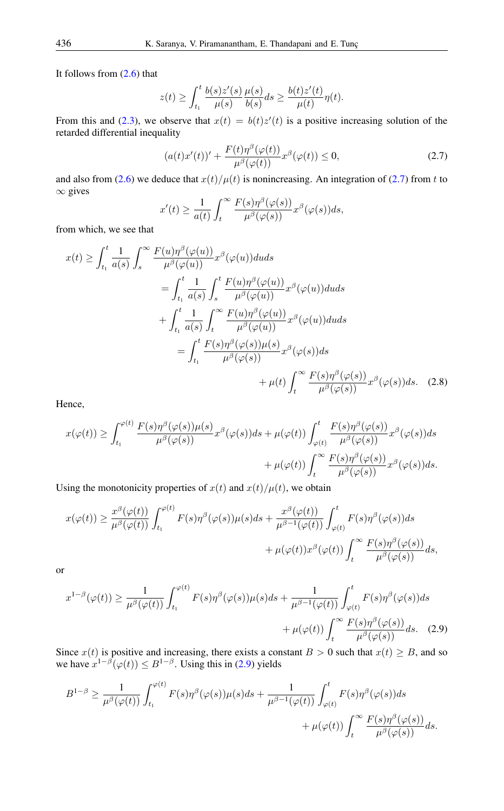It follows from [\(2.6\)](#page-2-1) that

$$
z(t) \ge \int_{t_1}^t \frac{b(s)z'(s)}{\mu(s)} \frac{\mu(s)}{b(s)} ds \ge \frac{b(t)z'(t)}{\mu(t)} \eta(t).
$$

From this and [\(2.3\)](#page-1-3), we observe that  $x(t) = b(t)z'(t)$  is a positive increasing solution of the retarded differential inequality

<span id="page-3-0"></span>
$$
(a(t)x'(t))' + \frac{F(t)\eta^{\beta}(\varphi(t))}{\mu^{\beta}(\varphi(t))}x^{\beta}(\varphi(t)) \le 0,
$$
\n(2.7)

and also from [\(2.6\)](#page-2-1) we deduce that  $x(t)/\mu(t)$  is nonincreasing. An integration of [\(2.7\)](#page-3-0) from t to  $∞$  gives

<span id="page-3-2"></span>
$$
x'(t) \ge \frac{1}{a(t)} \int_t^{\infty} \frac{F(s)\eta^{\beta}(\varphi(s))}{\mu^{\beta}(\varphi(s))} x^{\beta}(\varphi(s))ds,
$$

from which, we see that

$$
x(t) \geq \int_{t_1}^{t} \frac{1}{a(s)} \int_{s}^{\infty} \frac{F(u)\eta^{\beta}(\varphi(u))}{\mu^{\beta}(\varphi(u))} x^{\beta}(\varphi(u)) du ds
$$
  
\n
$$
= \int_{t_1}^{t} \frac{1}{a(s)} \int_{s}^{t} \frac{F(u)\eta^{\beta}(\varphi(u))}{\mu^{\beta}(\varphi(u))} x^{\beta}(\varphi(u)) du ds
$$
  
\n
$$
+ \int_{t_1}^{t} \frac{1}{a(s)} \int_{t}^{\infty} \frac{F(u)\eta^{\beta}(\varphi(u))}{\mu^{\beta}(\varphi(u))} x^{\beta}(\varphi(u)) du ds
$$
  
\n
$$
= \int_{t_1}^{t} \frac{F(s)\eta^{\beta}(\varphi(s))\mu(s)}{\mu^{\beta}(\varphi(s))} x^{\beta}(\varphi(s)) ds
$$
  
\n
$$
+ \mu(t) \int_{t}^{\infty} \frac{F(s)\eta^{\beta}(\varphi(s))}{\mu^{\beta}(\varphi(s))} x^{\beta}(\varphi(s)) ds. (2.8)
$$

Hence,

$$
x(\varphi(t)) \geq \int_{t_1}^{\varphi(t)} \frac{F(s)\eta^{\beta}(\varphi(s))\mu(s)}{\mu^{\beta}(\varphi(s))} x^{\beta}(\varphi(s))ds + \mu(\varphi(t)) \int_{\varphi(t)}^t \frac{F(s)\eta^{\beta}(\varphi(s))}{\mu^{\beta}(\varphi(s))} x^{\beta}(\varphi(s))ds + \mu(\varphi(t)) \int_t^{\infty} \frac{F(s)\eta^{\beta}(\varphi(s))}{\mu^{\beta}(\varphi(s))} x^{\beta}(\varphi(s))ds.
$$

Using the monotonicity properties of  $x(t)$  and  $x(t)/\mu(t)$ , we obtain

$$
x(\varphi(t)) \ge \frac{x^{\beta}(\varphi(t))}{\mu^{\beta}(\varphi(t))} \int_{t_1}^{\varphi(t)} F(s) \eta^{\beta}(\varphi(s)) \mu(s) ds + \frac{x^{\beta}(\varphi(t))}{\mu^{\beta-1}(\varphi(t))} \int_{\varphi(t)}^t F(s) \eta^{\beta}(\varphi(s)) ds + \mu(\varphi(t)) x^{\beta}(\varphi(t)) \int_t^{\infty} \frac{F(s) \eta^{\beta}(\varphi(s))}{\mu^{\beta}(\varphi(s))} ds,
$$

or

<span id="page-3-1"></span>
$$
x^{1-\beta}(\varphi(t)) \ge \frac{1}{\mu^{\beta}(\varphi(t))} \int_{t_1}^{\varphi(t)} F(s) \eta^{\beta}(\varphi(s)) \mu(s) ds + \frac{1}{\mu^{\beta-1}(\varphi(t))} \int_{\varphi(t)}^t F(s) \eta^{\beta}(\varphi(s)) ds + \mu(\varphi(t)) \int_t^{\infty} \frac{F(s) \eta^{\beta}(\varphi(s))}{\mu^{\beta}(\varphi(s))} ds. \quad (2.9)
$$

Since  $x(t)$  is positive and increasing, there exists a constant  $B > 0$  such that  $x(t) \geq B$ , and so we have  $x^{1-\beta}(\varphi(t)) \leq B^{1-\beta}$ . Using this in [\(2.9\)](#page-3-1) yields

$$
B^{1-\beta} \geq \frac{1}{\mu^{\beta}(\varphi(t))} \int_{t_1}^{\varphi(t)} F(s) \eta^{\beta}(\varphi(s)) \mu(s) ds + \frac{1}{\mu^{\beta-1}(\varphi(t))} \int_{\varphi(t)}^t F(s) \eta^{\beta}(\varphi(s)) ds + \mu(\varphi(t)) \int_t^{\infty} \frac{F(s) \eta^{\beta}(\varphi(s))}{\mu^{\beta}(\varphi(s))} ds.
$$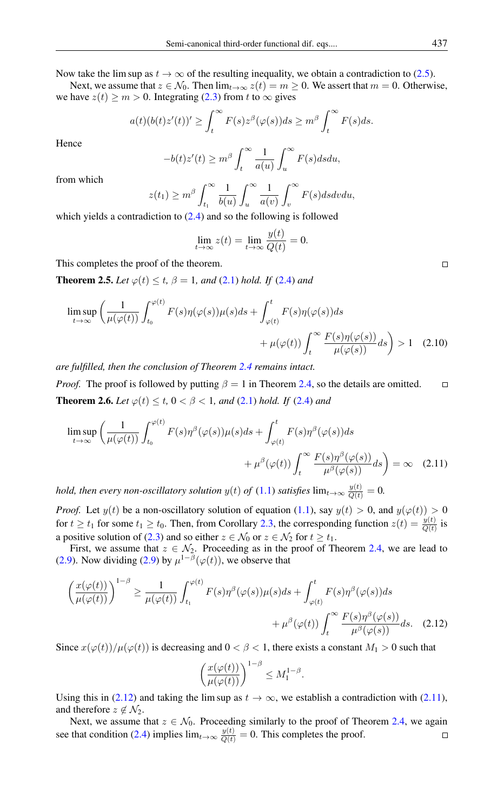Now take the lim sup as  $t \to \infty$  of the resulting inequality, we obtain a contradiction to [\(2.5\)](#page-2-2).

Next, we assume that  $z \in \mathcal{N}_0$ . Then  $\lim_{t \to \infty} z(t) = m \ge 0$ . We assert that  $m = 0$ . Otherwise, we have  $z(t) \ge m > 0$ . Integrating [\(2.3\)](#page-1-3) from t to  $\infty$  gives

$$
a(t)(b(t)z'(t))' \geq \int_t^{\infty} F(s)z^{\beta}(\varphi(s))ds \geq m^{\beta} \int_t^{\infty} F(s)ds.
$$

Hence

$$
-b(t)z'(t) \ge m^{\beta} \int_{t}^{\infty} \frac{1}{a(u)} \int_{u}^{\infty} F(s) ds du,
$$

from which

$$
z(t_1) \ge m^{\beta} \int_{t_1}^{\infty} \frac{1}{b(u)} \int_u^{\infty} \frac{1}{a(v)} \int_v^{\infty} F(s) ds dv du,
$$

which yields a contradiction to  $(2.4)$  and so the following is followed

$$
\lim_{t \to \infty} z(t) = \lim_{t \to \infty} \frac{y(t)}{Q(t)} = 0.
$$

This completes the proof of the theorem.

<span id="page-4-4"></span>**Theorem 2.5.** *Let*  $\varphi(t) \le t$ ,  $\beta = 1$ , and [\(2.1\)](#page-1-0) hold. If [\(2.4\)](#page-2-3) and

$$
\limsup_{t \to \infty} \left( \frac{1}{\mu(\varphi(t))} \int_{t_0}^{\varphi(t)} F(s) \eta(\varphi(s)) \mu(s) ds + \int_{\varphi(t)}^t F(s) \eta(\varphi(s)) ds + \mu(\varphi(t)) \int_t^{\infty} \frac{F(s) \eta(\varphi(s))}{\mu(\varphi(s))} ds \right) > 1 \quad (2.10)
$$

*are fulfilled, then the conclusion of Theorem [2.4](#page-2-4) remains intact.*

<span id="page-4-2"></span>*Proof.* The proof is followed by putting  $\beta = 1$  in Theorem [2.4,](#page-2-4) so the details are omitted.  $\Box$ **Theorem 2.6.** *Let*  $\varphi(t) \le t$ ,  $0 < \beta < 1$ , and [\(2.1\)](#page-1-0) *hold. If* [\(2.4\)](#page-2-3) *and* 

$$
\limsup_{t \to \infty} \left( \frac{1}{\mu(\varphi(t))} \int_{t_0}^{\varphi(t)} F(s) \eta^{\beta}(\varphi(s)) \mu(s) ds + \int_{\varphi(t)}^t F(s) \eta^{\beta}(\varphi(s)) ds + \mu^{\beta}(\varphi(t)) \int_t^{\infty} \frac{F(s) \eta^{\beta}(\varphi(s))}{\mu^{\beta}(\varphi(s))} ds \right) = \infty \quad (2.11)
$$

*hold, then every non-oscillatory solution*  $y(t)$  *of*  $(1.1)$  *satisfies*  $\lim_{t\to\infty} \frac{y(t)}{Q(t)} = 0$ .

*Proof.* Let  $y(t)$  be a non-oscillatory solution of equation [\(1.1\)](#page-0-0), say  $y(t) > 0$ , and  $y(\varphi(t)) > 0$ for  $t \ge t_1$  for some  $t_1 \ge t_0$ . Then, from Corollary [2.3,](#page-2-0) the corresponding function  $z(t) = \frac{y(t)}{Q(t)}$  is a positive solution of [\(2.3\)](#page-1-3) and so either  $z \in \mathcal{N}_0$  or  $z \in \mathcal{N}_2$  for  $t \ge t_1$ .

First, we assume that  $z \in \mathcal{N}_2$ . Proceeding as in the proof of Theorem [2.4,](#page-2-4) we are lead to [\(2.9\)](#page-3-1). Now dividing (2.9) by  $\mu^{1-\beta}(\varphi(t))$ , we observe that

$$
\left(\frac{x(\varphi(t))}{\mu(\varphi(t))}\right)^{1-\beta} \ge \frac{1}{\mu(\varphi(t))} \int_{t_1}^{\varphi(t)} F(s) \eta^{\beta}(\varphi(s)) \mu(s) ds + \int_{\varphi(t)}^t F(s) \eta^{\beta}(\varphi(s)) ds + \mu^{\beta}(\varphi(t)) \int_t^{\infty} \frac{F(s) \eta^{\beta}(\varphi(s))}{\mu^{\beta}(\varphi(s))} ds. \quad (2.12)
$$

Since  $x(\varphi(t))/\mu(\varphi(t))$  is decreasing and  $0 < \beta < 1$ , there exists a constant  $M_1 > 0$  such that

<span id="page-4-0"></span>
$$
\left(\frac{x(\varphi(t))}{\mu(\varphi(t))}\right)^{1-\beta} \le M_1^{1-\beta}.
$$

Using this in [\(2.12\)](#page-4-0) and taking the lim sup as  $t \to \infty$ , we establish a contradiction with [\(2.11\)](#page-4-1), and therefore  $z \notin \mathcal{N}_2$ .

Next, we assume that  $z \in \mathcal{N}_0$ . Proceeding similarly to the proof of Theorem [2.4,](#page-2-4) we again see that condition [\(2.4\)](#page-2-3) implies  $\lim_{t\to\infty} \frac{y(t)}{Q(t)} = 0$ . This completes the proof.  $\Box$ 

<span id="page-4-3"></span><span id="page-4-1"></span> $\Box$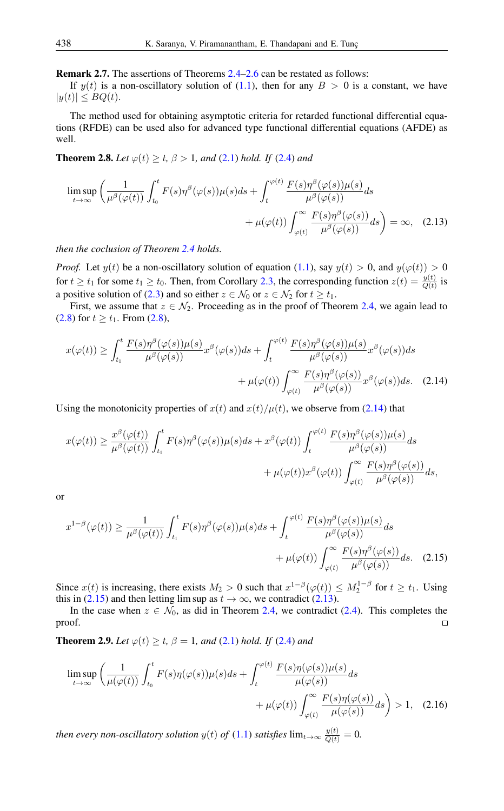Remark 2.7. The assertions of Theorems [2.4](#page-2-4)[–2.6](#page-4-2) can be restated as follows:

If  $y(t)$  is a non-oscillatory solution of [\(1.1\)](#page-0-0), then for any  $B > 0$  is a constant, we have  $|y(t)| \leq BQ(t).$ 

The method used for obtaining asymptotic criteria for retarded functional differential equations (RFDE) can be used also for advanced type functional differential equations (AFDE) as well.

<span id="page-5-3"></span>**Theorem 2.8.** *Let*  $\varphi(t) \ge t$ ,  $\beta > 1$ , *and* [\(2.1\)](#page-1-0) *hold. If* [\(2.4\)](#page-2-3) *and* 

<span id="page-5-2"></span>
$$
\limsup_{t \to \infty} \left( \frac{1}{\mu^{\beta}(\varphi(t))} \int_{t_0}^t F(s) \eta^{\beta}(\varphi(s)) \mu(s) ds + \int_t^{\varphi(t)} \frac{F(s) \eta^{\beta}(\varphi(s)) \mu(s)}{\mu^{\beta}(\varphi(s))} ds + \mu(\varphi(t)) \int_{\varphi(t)}^{\infty} \frac{F(s) \eta^{\beta}(\varphi(s))}{\mu^{\beta}(\varphi(s))} ds \right) = \infty, \quad (2.13)
$$

*then the coclusion of Theorem [2.4](#page-2-4) holds.*

*Proof.* Let  $y(t)$  be a non-oscillatory solution of equation [\(1.1\)](#page-0-0), say  $y(t) > 0$ , and  $y(\varphi(t)) > 0$ for  $t \ge t_1$  for some  $t_1 \ge t_0$ . Then, from Corollary [2.3,](#page-2-0) the corresponding function  $z(t) = \frac{y(t)}{Q(t)}$  is a positive solution of [\(2.3\)](#page-1-3) and so either  $z \in \mathcal{N}_0$  or  $z \in \mathcal{N}_2$  for  $t \ge t_1$ .

First, we assume that  $z \in \mathcal{N}_2$ . Proceeding as in the proof of Theorem [2.4,](#page-2-4) we again lead to  $(2.8)$  for  $t \ge t_1$ . From  $(2.8)$ ,

<span id="page-5-0"></span>
$$
x(\varphi(t)) \ge \int_{t_1}^t \frac{F(s)\eta^{\beta}(\varphi(s))\mu(s)}{\mu^{\beta}(\varphi(s))} x^{\beta}(\varphi(s))ds + \int_t^{\varphi(t)} \frac{F(s)\eta^{\beta}(\varphi(s))\mu(s)}{\mu^{\beta}(\varphi(s))} x^{\beta}(\varphi(s))ds + \mu(\varphi(t)) \int_{\varphi(t)}^{\infty} \frac{F(s)\eta^{\beta}(\varphi(s))}{\mu^{\beta}(\varphi(s))} x^{\beta}(\varphi(s))ds.
$$
 (2.14)

Using the monotonicity properties of  $x(t)$  and  $x(t)/\mu(t)$ , we observe from [\(2.14\)](#page-5-0) that

$$
x(\varphi(t)) \ge \frac{x^{\beta}(\varphi(t))}{\mu^{\beta}(\varphi(t))} \int_{t_1}^t F(s)\eta^{\beta}(\varphi(s))\mu(s)ds + x^{\beta}(\varphi(t)) \int_t^{\varphi(t)} \frac{F(s)\eta^{\beta}(\varphi(s))\mu(s)}{\mu^{\beta}(\varphi(s))}ds + \mu(\varphi(t))x^{\beta}(\varphi(t)) \int_{\varphi(t)}^{\infty} \frac{F(s)\eta^{\beta}(\varphi(s))}{\mu^{\beta}(\varphi(s))}ds,
$$

or

<span id="page-5-1"></span>
$$
x^{1-\beta}(\varphi(t)) \ge \frac{1}{\mu^{\beta}(\varphi(t))} \int_{t_1}^t F(s)\eta^{\beta}(\varphi(s))\mu(s)ds + \int_t^{\varphi(t)} \frac{F(s)\eta^{\beta}(\varphi(s))\mu(s)}{\mu^{\beta}(\varphi(s))}ds + \mu(\varphi(t)) \int_{\varphi(t)}^{\infty} \frac{F(s)\eta^{\beta}(\varphi(s))}{\mu^{\beta}(\varphi(s))}ds. \tag{2.15}
$$

Since  $x(t)$  is increasing, there exists  $M_2 > 0$  such that  $x^{1-\beta}(\varphi(t)) \leq M_2^{1-\beta}$  for  $t \geq t_1$ . Using this in [\(2.15\)](#page-5-1) and then letting lim sup as  $t \to \infty$ , we contradict [\(2.13\)](#page-5-2).

In the case when  $z \in \mathcal{N}_0$ , as did in Theorem [2.4,](#page-2-4) we contradict [\(2.4\)](#page-2-3). This completes the proof.  $\Box$ 

**Theorem 2.9.** *Let*  $\varphi(t) \geq t$ ,  $\beta = 1$ , and [\(2.1\)](#page-1-0) *hold. If* [\(2.4\)](#page-2-3) *and* 

$$
\limsup_{t \to \infty} \left( \frac{1}{\mu(\varphi(t))} \int_{t_0}^t F(s) \eta(\varphi(s)) \mu(s) ds + \int_t^{\varphi(t)} \frac{F(s) \eta(\varphi(s)) \mu(s)}{\mu(\varphi(s))} ds + \mu(\varphi(t)) \int_{\varphi(t)}^{\infty} \frac{F(s) \eta(\varphi(s))}{\mu(\varphi(s))} ds \right) > 1, \quad (2.16)
$$

*then every non-oscillatory solution*  $y(t)$  *of*  $(1.1)$  *satisfies*  $\lim_{t\to\infty} \frac{y(t)}{Q(t)} = 0$ .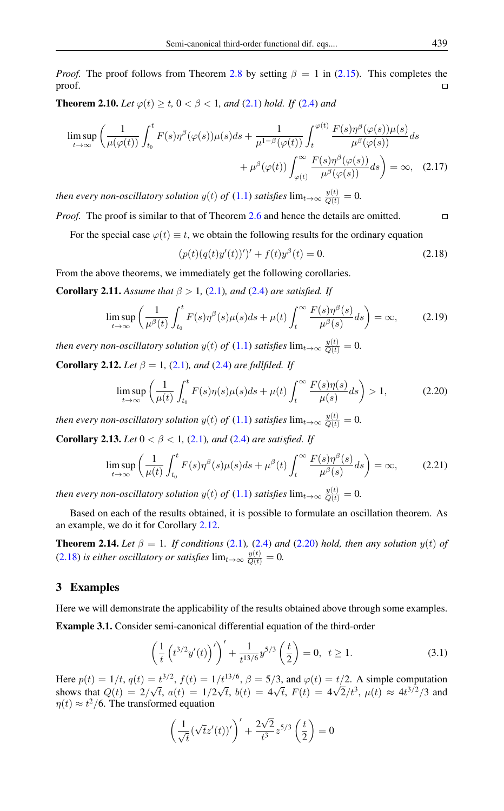*Proof.* The proof follows from Theorem [2.8](#page-5-3) by setting  $\beta = 1$  in [\(2.15\)](#page-5-1). This completes the proof.  $\Box$ 

**Theorem 2.10.** *Let*  $\varphi(t) \ge t$ ,  $0 < \beta < 1$ , and [\(2.1\)](#page-1-0) hold. If [\(2.4\)](#page-2-3) and

$$
\limsup_{t \to \infty} \left( \frac{1}{\mu(\varphi(t))} \int_{t_0}^t F(s) \eta^{\beta}(\varphi(s)) \mu(s) ds + \frac{1}{\mu^{1-\beta}(\varphi(t))} \int_t^{\varphi(t)} \frac{F(s) \eta^{\beta}(\varphi(s)) \mu(s)}{\mu^{\beta}(\varphi(s))} ds + \mu^{\beta}(\varphi(t)) \int_{\varphi(t)}^{\infty} \frac{F(s) \eta^{\beta}(\varphi(s))}{\mu^{\beta}(\varphi(s))} ds \right) = \infty, \quad (2.17)
$$

*then every non-oscillatory solution*  $y(t)$  *of*  $(1.1)$  *satisfies*  $\lim_{t\to\infty} \frac{y(t)}{Q(t)} = 0$ .

*Proof.* The proof is similar to that of Theorem [2.6](#page-4-2) and hence the details are omitted.  $\Box$ 

For the special case  $\varphi(t) \equiv t$ , we obtain the following results for the ordinary equation

<span id="page-6-2"></span><span id="page-6-1"></span>
$$
(p(t)(q(t)y'(t))')' + f(t)y^{\beta}(t) = 0.
$$
\n(2.18)

From the above theorems, we immediately get the following corollaries.

**Corollary 2.11.** *Assume that*  $\beta > 1$ , [\(2.1\)](#page-1-0)*, and* (2.4*) are satisfied. If* 

$$
\limsup_{t \to \infty} \left( \frac{1}{\mu^{\beta}(t)} \int_{t_0}^t F(s) \eta^{\beta}(s) \mu(s) ds + \mu(t) \int_t^{\infty} \frac{F(s) \eta^{\beta}(s)}{\mu^{\beta}(s)} ds \right) = \infty, \tag{2.19}
$$

*then every non-oscillatory solution*  $y(t)$  *of*  $(1.1)$  *satisfies*  $\lim_{t\to\infty} \frac{y(t)}{Q(t)} = 0$ .

<span id="page-6-0"></span>**Corollary 2.12.** *Let*  $\beta = 1$ , [\(2.1\)](#page-1-0)*, and* (2.4*) are fullfiled. If* 

$$
\limsup_{t \to \infty} \left( \frac{1}{\mu(t)} \int_{t_0}^t F(s) \eta(s) \mu(s) ds + \mu(t) \int_t^\infty \frac{F(s) \eta(s)}{\mu(s)} ds \right) > 1,
$$
 (2.20)

*then every non-oscillatory solution*  $y(t)$  *of*  $(1.1)$  *satisfies*  $\lim_{t\to\infty} \frac{y(t)}{Q(t)} = 0$ .

**Corollary 2.13.** *Let*  $0 < \beta < 1$ , [\(2.1\)](#page-1-0)*, and* (2.4*) are satisfied. If* 

$$
\limsup_{t \to \infty} \left( \frac{1}{\mu(t)} \int_{t_0}^t F(s) \eta^{\beta}(s) \mu(s) ds + \mu^{\beta}(t) \int_t^{\infty} \frac{F(s) \eta^{\beta}(s)}{\mu^{\beta}(s)} ds \right) = \infty, \tag{2.21}
$$

*then every non-oscillatory solution*  $y(t)$  *of*  $(1.1)$  *satisfies*  $\lim_{t\to\infty} \frac{y(t)}{Q(t)} = 0$ .

Based on each of the results obtained, it is possible to formulate an oscillation theorem. As an example, we do it for Corollary [2.12.](#page-6-0)

**Theorem 2.14.** *Let*  $\beta = 1$ *. If conditions* [\(2.1\)](#page-1-0)*,* (2.4*) and* (2.20*) hold, then any solution*  $y(t)$  *of*  $(2.18)$  *is either oscillatory or satisfies*  $\lim_{t\to\infty} \frac{y(t)}{Q(t)} = 0$ .

# 3 Examples

Here we will demonstrate the applicability of the results obtained above through some examples. Example 3.1. Consider semi-canonical differential equation of the third-order

<span id="page-6-3"></span>
$$
\left(\frac{1}{t}\left(t^{3/2}y'(t)\right)'\right)' + \frac{1}{t^{13/6}}y^{5/3}\left(\frac{t}{2}\right) = 0, \ t \ge 1.
$$
\n(3.1)

Here  $p(t) = 1/t$ ,  $q(t) = t^{3/2}$ ,  $f(t) = 1/t^{13/6}$ ,  $\beta = 5/3$ , and  $\varphi(t) = t/2$ . A simple computation shows that  $Q(t) = 2/\sqrt{t}$ ,  $a(t) = 1/2\sqrt{t}$ ,  $b(t) = 4\sqrt{t}$ ,  $F(t) = 4$  $\sqrt{2}/t^3$ ,  $\mu(t) \approx 4t^{3/2}/3$  and  $\eta(t) \approx t^2/6$ . The transformed equation

$$
\left(\frac{1}{\sqrt{t}}(\sqrt{t}z'(t))'\right)' + \frac{2\sqrt{2}}{t^3}z^{5/3}\left(\frac{t}{2}\right) = 0
$$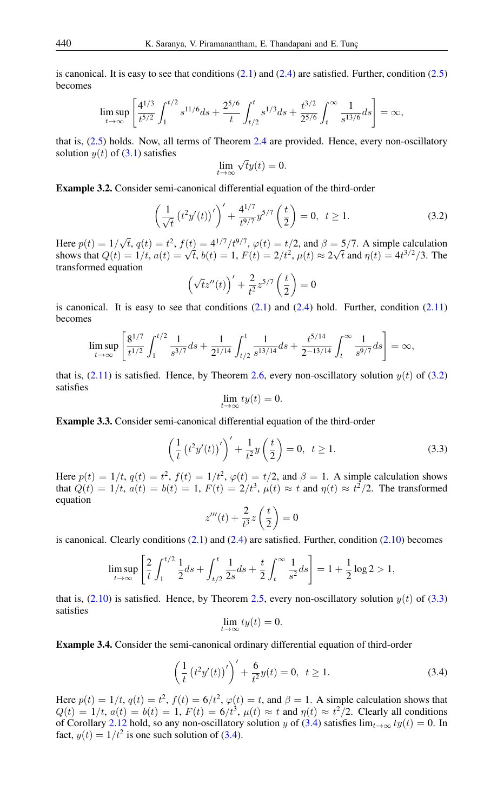is canonical. It is easy to see that conditions  $(2.1)$  and  $(2.4)$  are satisfied. Further, condition  $(2.5)$ becomes

$$
\limsup_{t \to \infty} \left[ \frac{4^{1/3}}{t^{5/2}} \int_1^{t/2} s^{11/6} ds + \frac{2^{5/6}}{t} \int_{t/2}^t s^{1/3} ds + \frac{t^{3/2}}{2^{5/6}} \int_t^{\infty} \frac{1}{s^{13/6}} ds \right] = \infty,
$$

that is, [\(2.5\)](#page-2-2) holds. Now, all terms of Theorem [2.4](#page-2-4) are provided. Hence, every non-oscillatory solution  $y(t)$  of [\(3.1\)](#page-6-3) satisfies √

<span id="page-7-0"></span>
$$
\lim_{t \to \infty} \sqrt{t} y(t) = 0.
$$

Example 3.2. Consider semi-canonical differential equation of the third-order

$$
\left(\frac{1}{\sqrt{t}}\left(t^2y'(t)\right)'\right)' + \frac{4^{1/7}}{t^{9/7}}y^{5/7}\left(\frac{t}{2}\right) = 0, \ t \ge 1. \tag{3.2}
$$

Here  $p(t) = 1/\sqrt{t}$ ,  $q(t) = t^2$ ,  $f(t) = 4^{1/7}/t^{9/7}$ ,  $\varphi(t) = t/2$ , and  $\beta = 5/7$ . A simple calculation shows that  $Q(t) = 1/t$ ,  $a(t) = \sqrt{t}$ ,  $b(t) = 1$ ,  $F(t) = 2/t^2$ ,  $\mu(t) \approx 2\sqrt{t}$  and  $\eta(t) = 4t^{3/2}/3$ . The transformed equation

$$
\left(\sqrt{t}z''(t)\right)' + \frac{2}{t^2}z^{5/7}\left(\frac{t}{2}\right) = 0
$$

is canonical. It is easy to see that conditions  $(2.1)$  and  $(2.4)$  hold. Further, condition  $(2.11)$ becomes

$$
\limsup_{t \to \infty} \left[ \frac{8^{1/7}}{t^{1/2}} \int_1^{t/2} \frac{1}{s^{3/7}} ds + \frac{1}{2^{1/14}} \int_{t/2}^t \frac{1}{s^{13/14}} ds + \frac{t^{5/14}}{2^{-13/14}} \int_t^{\infty} \frac{1}{s^{9/7}} ds \right] = \infty,
$$

that is,  $(2.11)$  is satisfied. Hence, by Theorem [2.6,](#page-4-2) every non-oscillatory solution  $y(t)$  of [\(3.2\)](#page-7-0) satisfies

<span id="page-7-1"></span>
$$
\lim_{t \to \infty} ty(t) = 0.
$$

Example 3.3. Consider semi-canonical differential equation of the third-order

$$
\left(\frac{1}{t}\left(t^2y'(t)\right)'\right)' + \frac{1}{t^2}y\left(\frac{t}{2}\right) = 0, \ t \ge 1.
$$
\n(3.3)

Here  $p(t) = 1/t$ ,  $q(t) = t^2$ ,  $f(t) = 1/t^2$ ,  $\varphi(t) = t/2$ , and  $\beta = 1$ . A simple calculation shows that  $Q(t) = 1/t$ ,  $a(t) = b(t) = 1$ ,  $F(t) = 2/t^3$ ,  $\mu(t) \approx t$  and  $\eta(t) \approx t^2/2$ . The transformed equation

$$
z'''(t) + \frac{2}{t^3}z\left(\frac{t}{2}\right) = 0
$$

is canonical. Clearly conditions  $(2.1)$  and  $(2.4)$  are satisfied. Further, condition  $(2.10)$  becomes

$$
\limsup_{t \to \infty} \left[ \frac{2}{t} \int_1^{t/2} \frac{1}{2} ds + \int_{t/2}^t \frac{1}{2s} ds + \frac{t}{2} \int_t^{\infty} \frac{1}{s^2} ds \right] = 1 + \frac{1}{2} \log 2 > 1,
$$

that is,  $(2.10)$  is satisfied. Hence, by Theorem [2.5,](#page-4-4) every non-oscillatory solution  $y(t)$  of [\(3.3\)](#page-7-1) satisfies

<span id="page-7-2"></span>
$$
\lim_{t \to \infty} ty(t) = 0.
$$

Example 3.4. Consider the semi-canonical ordinary differential equation of third-order

$$
\left(\frac{1}{t}\left(t^2y'(t)\right)'\right)' + \frac{6}{t^2}y(t) = 0, \ \ t \ge 1.
$$
\n(3.4)

Here  $p(t) = 1/t$ ,  $q(t) = t^2$ ,  $f(t) = 6/t^2$ ,  $\varphi(t) = t$ , and  $\beta = 1$ . A simple calculation shows that  $Q(t) = 1/t$ ,  $a(t) = b(t) = 1$ ,  $F(t) = 6/t^3$ ,  $\mu(t) \approx t$  and  $\eta(t) \approx t^2/2$ . Clearly all conditions of Corollary [2.12](#page-6-0) hold, so any non-oscillatory solution y of [\(3.4\)](#page-7-2) satisfies  $\lim_{t\to\infty} ty(t) = 0$ . In fact,  $y(t) = 1/t^2$  is one such solution of [\(3.4\)](#page-7-2).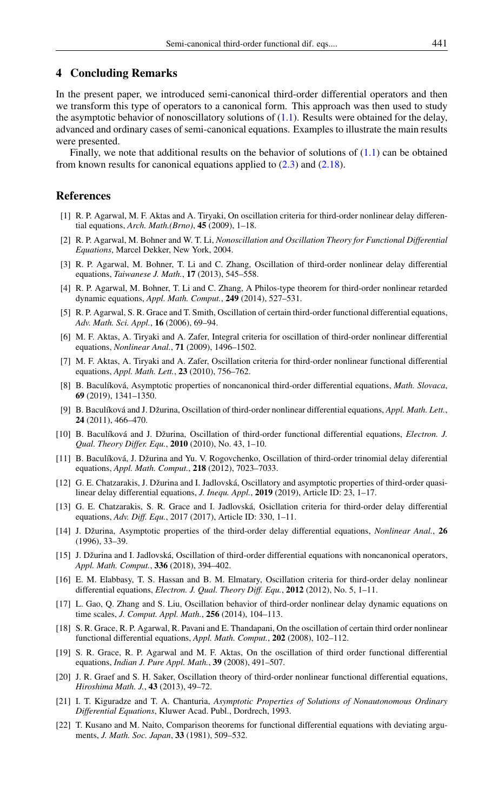#### 4 Concluding Remarks

In the present paper, we introduced semi-canonical third-order differential operators and then we transform this type of operators to a canonical form. This approach was then used to study the asymptotic behavior of nonoscillatory solutions of  $(1.1)$ . Results were obtained for the delay, advanced and ordinary cases of semi-canonical equations. Examples to illustrate the main results were presented.

Finally, we note that additional results on the behavior of solutions of  $(1.1)$  can be obtained from known results for canonical equations applied to  $(2.3)$  and  $(2.18)$ .

#### <span id="page-8-0"></span>References

- <span id="page-8-1"></span>[1] R. P. Agarwal, M. F. Aktas and A. Tiryaki, On oscillation criteria for third-order nonlinear delay differential equations, *Arch. Math.(Brno)*, 45 (2009), 1–18.
- [2] R. P. Agarwal, M. Bohner and W. T. Li, *Nonoscillation and Oscillation Theory for Functional Differential Equations*, Marcel Dekker, New York, 2004.
- [3] R. P. Agarwal, M. Bohner, T. Li and C. Zhang, Oscillation of third-order nonlinear delay differential equations, *Taiwanese J. Math.*, 17 (2013), 545–558.
- [4] R. P. Agarwal, M. Bohner, T. Li and C. Zhang, A Philos-type theorem for third-order nonlinear retarded dynamic equations, *Appl. Math. Comput.*, 249 (2014), 527–531.
- [5] R. P. Agarwal, S. R. Grace and T. Smith, Oscillation of certain third-order functional differential equations, *Adv. Math. Sci. Appl.*, 16 (2006), 69–94.
- [6] M. F. Aktas, A. Tiryaki and A. Zafer, Integral criteria for oscillation of third-order nonlinear differential equations, *Nonlinear Anal.*, 71 (2009), 1496–1502.
- [7] M. F. Aktas, A. Tiryaki and A. Zafer, Oscillation criteria for third-order nonlinear functional differential equations, *Appl. Math. Lett.*, 23 (2010), 756–762.
- [8] B. Baculíková, Asymptotic properties of noncanonical third-order differential equations, *Math. Slovaca*, 69 (2019), 1341–1350.
- [9] B. Baculíková and J. Džurina, Oscillation of third-order nonlinear differential equations, *Appl. Math. Lett.*, 24 (2011), 466–470.
- [10] B. Baculíková and J. Džurina, Oscillation of third-order functional differential equations, *Electron. J. Qual. Theory Differ. Equ.*, 2010 (2010), No. 43, 1–10.
- [11] B. Baculíková, J. Džurina and Yu. V. Rogovchenko, Oscillation of third-order trinomial delay diferential equations, *Appl. Math. Comput.*, 218 (2012), 7023–7033.
- [12] G. E. Chatzarakis, J. Džurina and I. Jadlovská, Oscillatory and asymptotic properties of third-order quasilinear delay differential equations, *J. Inequ. Appl.*, 2019 (2019), Article ID: 23, 1–17.
- [13] G. E. Chatzarakis, S. R. Grace and I. Jadlovská, Osicllation criteria for third-order delay differential equations, *Adv. Diff. Equ.*, 2017 (2017), Article ID: 330, 1–11.
- [14] J. Džurina, Asymptotic properties of the third-order delay differential equations, *Nonlinear Anal.*, 26 (1996), 33–39.
- [15] J. Džurina and I. Jadlovská, Oscillation of third-order differential equations with noncanonical operators, *Appl. Math. Comput.*, 336 (2018), 394–402.
- [16] E. M. Elabbasy, T. S. Hassan and B. M. Elmatary, Oscillation criteria for third-order delay nonlinear differential equations, *Electron. J. Qual. Theory Diff. Equ.*, 2012 (2012), No. 5, 1–11.
- [17] L. Gao, Q. Zhang and S. Liu, Oscillation behavior of third-order nonlinear delay dynamic equations on time scales, *J. Comput. Appl. Math.*, 256 (2014), 104–113.
- [18] S. R. Grace, R. P. Agarwal, R. Pavani and E. Thandapani, On the oscillation of certain third order nonlinear functional differential equations, *Appl. Math. Comput.*, 202 (2008), 102–112.
- [19] S. R. Grace, R. P. Agarwal and M. F. Aktas, On the oscillation of third order functional differential equations, *Indian J. Pure Appl. Math.*, 39 (2008), 491–507.
- [20] J. R. Graef and S. H. Saker, Oscillation theory of third-order nonlinear functional differential equations, *Hiroshima Math. J.*, 43 (2013), 49–72.
- <span id="page-8-2"></span>[21] I. T. Kiguradze and T. A. Chanturia, *Asymptotic Properties of Solutions of Nonautonomous Ordinary Differential Equations*, Kluwer Acad. Publ., Dordrech, 1993.
- [22] T. Kusano and M. Naito, Comparison theorems for functional differential equations with deviating arguments, *J. Math. Soc. Japan*, 33 (1981), 509–532.